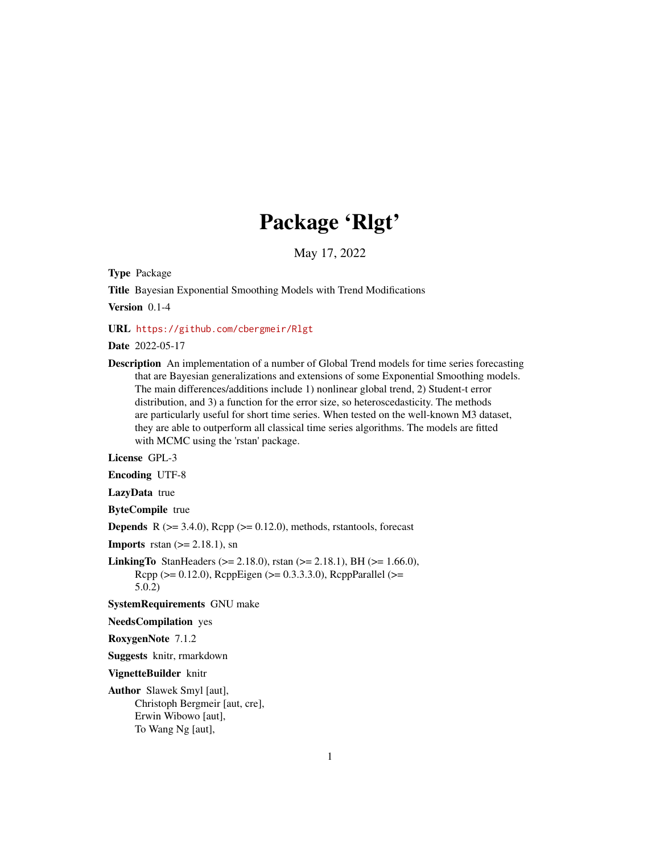# Package 'Rlgt'

May 17, 2022

Type Package

Title Bayesian Exponential Smoothing Models with Trend Modifications

Version 0.1-4

URL <https://github.com/cbergmeir/Rlgt>

Date 2022-05-17

Description An implementation of a number of Global Trend models for time series forecasting that are Bayesian generalizations and extensions of some Exponential Smoothing models. The main differences/additions include 1) nonlinear global trend, 2) Student-t error distribution, and 3) a function for the error size, so heteroscedasticity. The methods are particularly useful for short time series. When tested on the well-known M3 dataset, they are able to outperform all classical time series algorithms. The models are fitted with MCMC using the 'rstan' package.

License GPL-3

Encoding UTF-8

LazyData true

ByteCompile true

**Depends** R  $(>= 3.4.0)$ , Rcpp  $(>= 0.12.0)$ , methods, rstantools, forecast

**Imports** rstan  $(>= 2.18.1)$ , sn

**LinkingTo** StanHeaders ( $>= 2.18.0$ ), rstan ( $>= 2.18.1$ ), BH ( $>= 1.66.0$ ), Rcpp (>= 0.12.0), RcppEigen (>= 0.3.3.3.0), RcppParallel (>= 5.0.2)

SystemRequirements GNU make

NeedsCompilation yes

RoxygenNote 7.1.2

Suggests knitr, rmarkdown

VignetteBuilder knitr

Author Slawek Smyl [aut], Christoph Bergmeir [aut, cre], Erwin Wibowo [aut], To Wang Ng [aut],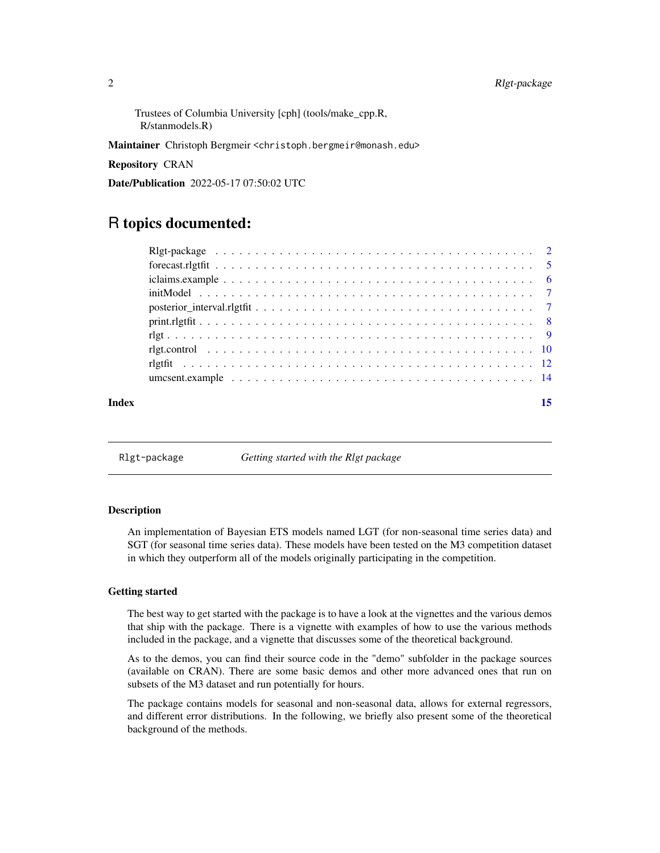<span id="page-1-0"></span>Trustees of Columbia University [cph] (tools/make\_cpp.R, R/stanmodels.R)

Maintainer Christoph Bergmeir <christoph.bergmeir@monash.edu>

Repository CRAN

Date/Publication 2022-05-17 07:50:02 UTC

# R topics documented:

Rlgt-package *Getting started with the Rlgt package*

#### **Description**

An implementation of Bayesian ETS models named LGT (for non-seasonal time series data) and SGT (for seasonal time series data). These models have been tested on the M3 competition dataset in which they outperform all of the models originally participating in the competition.

#### Getting started

The best way to get started with the package is to have a look at the vignettes and the various demos that ship with the package. There is a vignette with examples of how to use the various methods included in the package, and a vignette that discusses some of the theoretical background.

As to the demos, you can find their source code in the "demo" subfolder in the package sources (available on CRAN). There are some basic demos and other more advanced ones that run on subsets of the M3 dataset and run potentially for hours.

The package contains models for seasonal and non-seasonal data, allows for external regressors, and different error distributions. In the following, we briefly also present some of the theoretical background of the methods.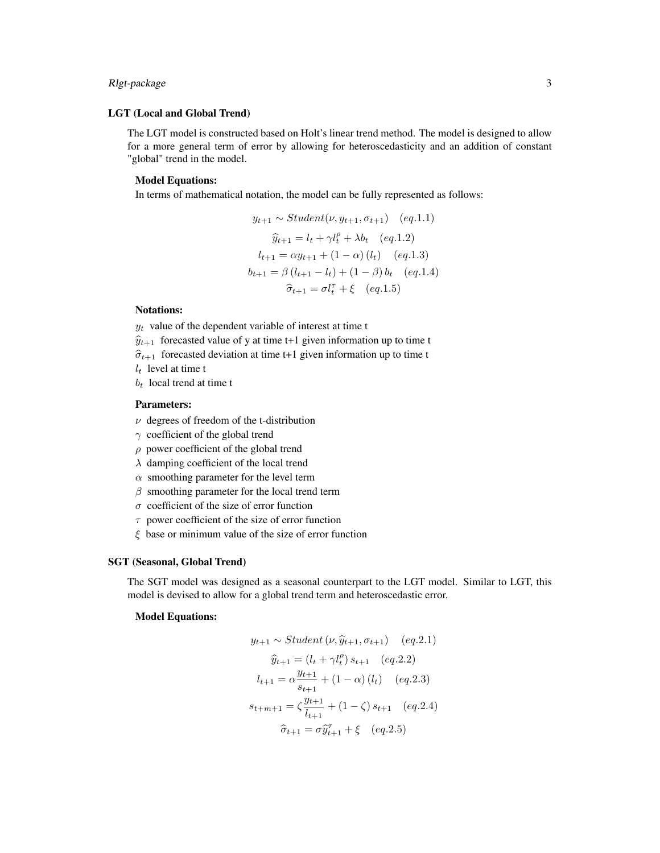#### Rlgt-package 3

#### LGT (Local and Global Trend)

The LGT model is constructed based on Holt's linear trend method. The model is designed to allow for a more general term of error by allowing for heteroscedasticity and an addition of constant "global" trend in the model.

#### Model Equations:

In terms of mathematical notation, the model can be fully represented as follows:

$$
y_{t+1} \sim Student(\nu, y_{t+1}, \sigma_{t+1}) \quad (eq.1.1)
$$

$$
\hat{y}_{t+1} = l_t + \gamma l_t^{\rho} + \lambda b_t \quad (eq.1.2)
$$

$$
l_{t+1} = \alpha y_{t+1} + (1 - \alpha) (l_t) \quad (eq.1.3)
$$

$$
b_{t+1} = \beta (l_{t+1} - l_t) + (1 - \beta) b_t \quad (eq.1.4)
$$

$$
\hat{\sigma}_{t+1} = \sigma l_t^{\tau} + \xi \quad (eq.1.5)
$$

#### Notations:

 $y_t$  value of the dependent variable of interest at time t

 $\hat{y}_{t+1}$  forecasted value of y at time t+1 given information up to time t

- $\hat{\sigma}_{t+1}$  forecasted deviation at time t+1 given information up to time t
- $l_t$  level at time t
- $b_t$  local trend at time t

#### Parameters:

- $\nu$  degrees of freedom of the t-distribution
- $\gamma$  coefficient of the global trend
- $\rho$  power coefficient of the global trend
- $\lambda$  damping coefficient of the local trend
- $\alpha$  smoothing parameter for the level term
- $\beta$  smoothing parameter for the local trend term
- $\sigma$  coefficient of the size of error function
- $\tau$  power coefficient of the size of error function
- $\xi$  base or minimum value of the size of error function

#### SGT (Seasonal, Global Trend)

The SGT model was designed as a seasonal counterpart to the LGT model. Similar to LGT, this model is devised to allow for a global trend term and heteroscedastic error.

#### Model Equations:

$$
y_{t+1} \sim Student(\nu, \hat{y}_{t+1}, \sigma_{t+1}) \quad (eq.2.1)
$$

$$
\hat{y}_{t+1} = (l_t + \gamma l_t^p) s_{t+1} \quad (eq.2.2)
$$

$$
l_{t+1} = \alpha \frac{y_{t+1}}{s_{t+1}} + (1 - \alpha) (l_t) \quad (eq.2.3)
$$

$$
s_{t+m+1} = \zeta \frac{y_{t+1}}{l_{t+1}} + (1 - \zeta) s_{t+1} \quad (eq.2.4)
$$

$$
\hat{\sigma}_{t+1} = \sigma \hat{y}_{t+1}^T + \xi \quad (eq.2.5)
$$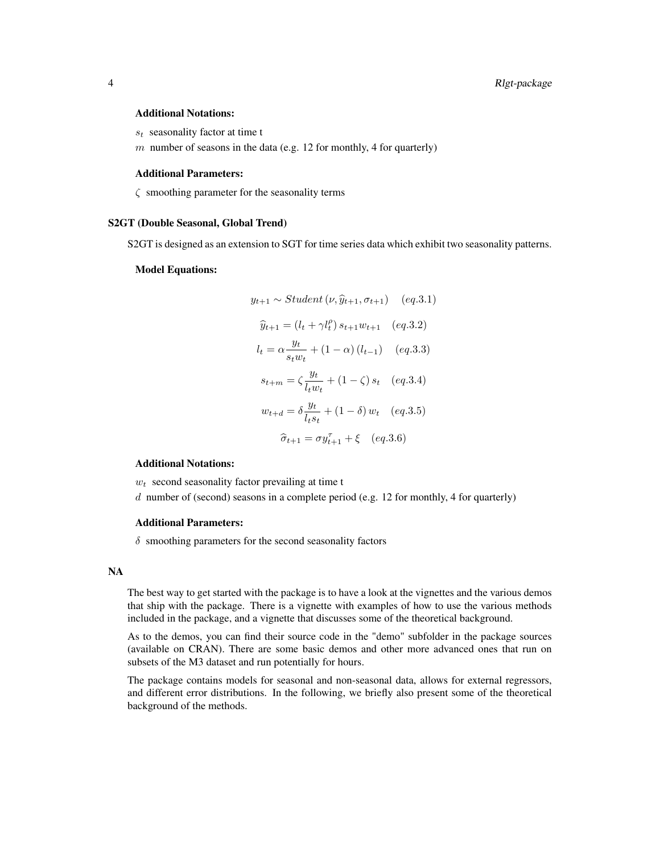#### Additional Notations:

- $s_t$  seasonality factor at time t
- $m$  number of seasons in the data (e.g. 12 for monthly, 4 for quarterly)

#### Additional Parameters:

 $\zeta$  smoothing parameter for the seasonality terms

#### S2GT (Double Seasonal, Global Trend)

S2GT is designed as an extension to SGT for time series data which exhibit two seasonality patterns.

#### Model Equations:

$$
y_{t+1} \sim Student(\nu, \hat{y}_{t+1}, \sigma_{t+1}) \quad (eq.3.1)
$$

$$
\hat{y}_{t+1} = (l_t + \gamma l_t^{\rho}) s_{t+1} w_{t+1} \quad (eq.3.2)
$$

$$
l_t = \alpha \frac{y_t}{s_t w_t} + (1 - \alpha) (l_{t-1}) \quad (eq.3.3)
$$

$$
s_{t+m} = \zeta \frac{y_t}{l_t w_t} + (1 - \zeta) s_t \quad (eq.3.4)
$$

$$
w_{t+d} = \delta \frac{y_t}{l_t s_t} + (1 - \delta) w_t \quad (eq.3.5)
$$

$$
\hat{\sigma}_{t+1} = \sigma y_{t+1}^{\tau} + \xi \quad (eq.3.6)
$$

#### Additional Notations:

 $w_t$  second seasonality factor prevailing at time t

 $d$  number of (second) seasons in a complete period (e.g. 12 for monthly, 4 for quarterly)

#### Additional Parameters:

 $\delta$  smoothing parameters for the second seasonality factors

#### NA

The best way to get started with the package is to have a look at the vignettes and the various demos that ship with the package. There is a vignette with examples of how to use the various methods included in the package, and a vignette that discusses some of the theoretical background.

As to the demos, you can find their source code in the "demo" subfolder in the package sources (available on CRAN). There are some basic demos and other more advanced ones that run on subsets of the M3 dataset and run potentially for hours.

The package contains models for seasonal and non-seasonal data, allows for external regressors, and different error distributions. In the following, we briefly also present some of the theoretical background of the methods.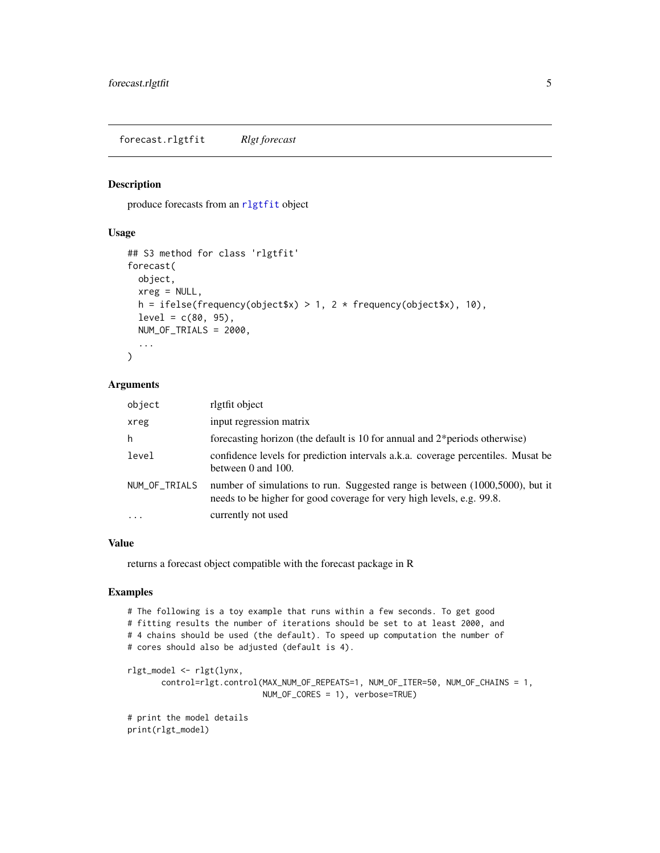<span id="page-4-0"></span>forecast.rlgtfit *Rlgt forecast*

#### Description

produce forecasts from an [rlgtfit](#page-11-1) object

#### Usage

```
## S3 method for class 'rlgtfit'
forecast(
 object,
  xreg = NULL,
  h = ifelse(frequency(object $x) > 1, 2 * frequency(object $x), 10,level = c(80, 95),
 NUM_OF_TRIALS = 2000,
  ...
\mathcal{L}
```
#### Arguments

| object        | rlgtfit object                                                                                                                                        |
|---------------|-------------------------------------------------------------------------------------------------------------------------------------------------------|
| xreg          | input regression matrix                                                                                                                               |
| h             | forecasting horizon (the default is 10 for annual and $2*$ periods otherwise)                                                                         |
| level         | confidence levels for prediction intervals a.k.a. coverage percentiles. Musat be<br>between $0$ and $100$ .                                           |
| NUM_OF_TRIALS | number of simulations to run. Suggested range is between (1000,5000), but it<br>needs to be higher for good coverage for very high levels, e.g. 99.8. |
| $\ddots$ .    | currently not used                                                                                                                                    |

#### Value

returns a forecast object compatible with the forecast package in R

#### Examples

```
# The following is a toy example that runs within a few seconds. To get good
# fitting results the number of iterations should be set to at least 2000, and
# 4 chains should be used (the default). To speed up computation the number of
# cores should also be adjusted (default is 4).
rlgt_model <- rlgt(lynx,
       control=rlgt.control(MAX_NUM_OF_REPEATS=1, NUM_OF_ITER=50, NUM_OF_CHAINS = 1,
                            NUM_OF_CORES = 1), verbose=TRUE)
# print the model details
print(rlgt_model)
```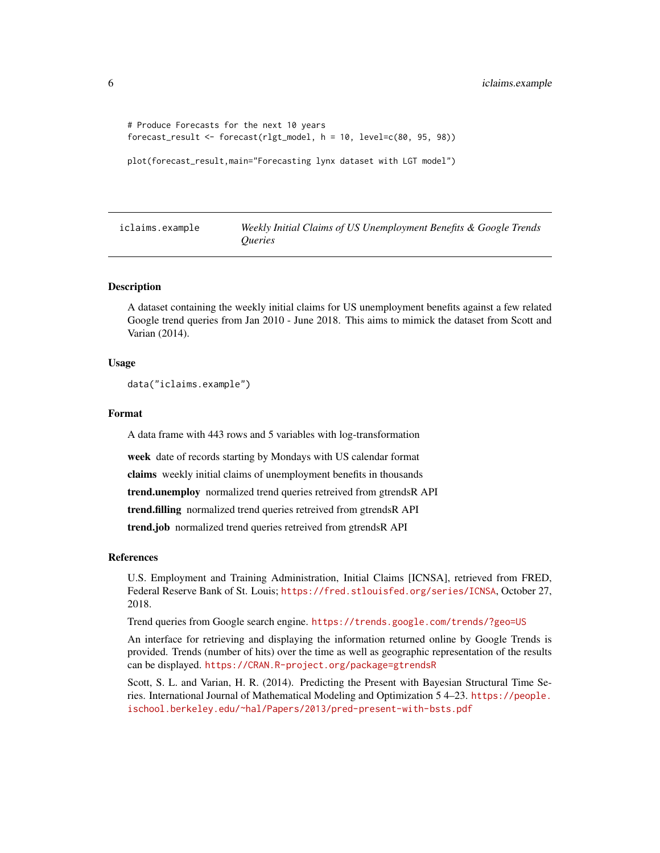```
# Produce Forecasts for the next 10 years
forecast_result <- forecast(rlgt_model, h = 10, level=c(80, 95, 98))
```

```
plot(forecast_result,main="Forecasting lynx dataset with LGT model")
```

| iclaims.example | Weekly Initial Claims of US Unemployment Benefits & Google Trends |
|-----------------|-------------------------------------------------------------------|
|                 | <i><u><b>Oueries</b></u></i>                                      |

A dataset containing the weekly initial claims for US unemployment benefits against a few related Google trend queries from Jan 2010 - June 2018. This aims to mimick the dataset from Scott and Varian (2014).

#### Usage

```
data("iclaims.example")
```
#### Format

A data frame with 443 rows and 5 variables with log-transformation

week date of records starting by Mondays with US calendar format

claims weekly initial claims of unemployment benefits in thousands

trend.unemploy normalized trend queries retreived from gtrendsR API

trend.filling normalized trend queries retreived from gtrendsR API

trend.job normalized trend queries retreived from gtrendsR API

#### References

U.S. Employment and Training Administration, Initial Claims [ICNSA], retrieved from FRED, Federal Reserve Bank of St. Louis; <https://fred.stlouisfed.org/series/ICNSA>, October 27, 2018.

Trend queries from Google search engine. <https://trends.google.com/trends/?geo=US>

An interface for retrieving and displaying the information returned online by Google Trends is provided. Trends (number of hits) over the time as well as geographic representation of the results can be displayed. <https://CRAN.R-project.org/package=gtrendsR>

Scott, S. L. and Varian, H. R. (2014). Predicting the Present with Bayesian Structural Time Series. International Journal of Mathematical Modeling and Optimization 5 4–23. [https://people.](https://people.ischool.berkeley.edu/~hal/Papers/2013/pred-present-with-bsts.pdf) [ischool.berkeley.edu/~hal/Papers/2013/pred-present-with-bsts.pdf](https://people.ischool.berkeley.edu/~hal/Papers/2013/pred-present-with-bsts.pdf)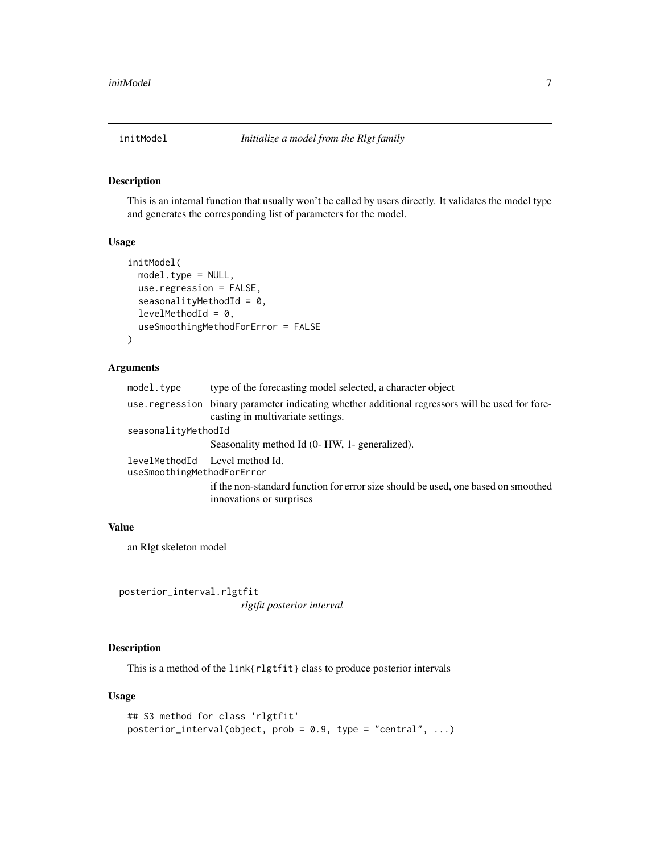<span id="page-6-0"></span>

This is an internal function that usually won't be called by users directly. It validates the model type and generates the corresponding list of parameters for the model.

#### Usage

```
initModel(
 model.type = NULL,
  use.regression = FALSE,
  seasonalityMethodId = 0,
  levelMethodId = 0,useSmoothingMethodForError = FALSE
\mathcal{L}
```
#### Arguments

| model.type                                                   | type of the forecasting model selected, a character object                                                                           |
|--------------------------------------------------------------|--------------------------------------------------------------------------------------------------------------------------------------|
|                                                              | use regression binary parameter indicating whether additional regressors will be used for fore-<br>casting in multivariate settings. |
| seasonalityMethodId                                          |                                                                                                                                      |
|                                                              | Seasonality method Id (0- HW, 1- generalized).                                                                                       |
| levelMethodId Level method Id.<br>useSmoothingMethodForError |                                                                                                                                      |
|                                                              | if the non-standard function for error size should be used, one based on smoothed<br>innovations or surprises                        |

#### Value

an Rlgt skeleton model

posterior\_interval.rlgtfit *rlgtfit posterior interval*

#### Description

This is a method of the link{rlgtfit} class to produce posterior intervals

#### Usage

```
## S3 method for class 'rlgtfit'
posterior_interval(object, prob = 0.9, type = "central", ...)
```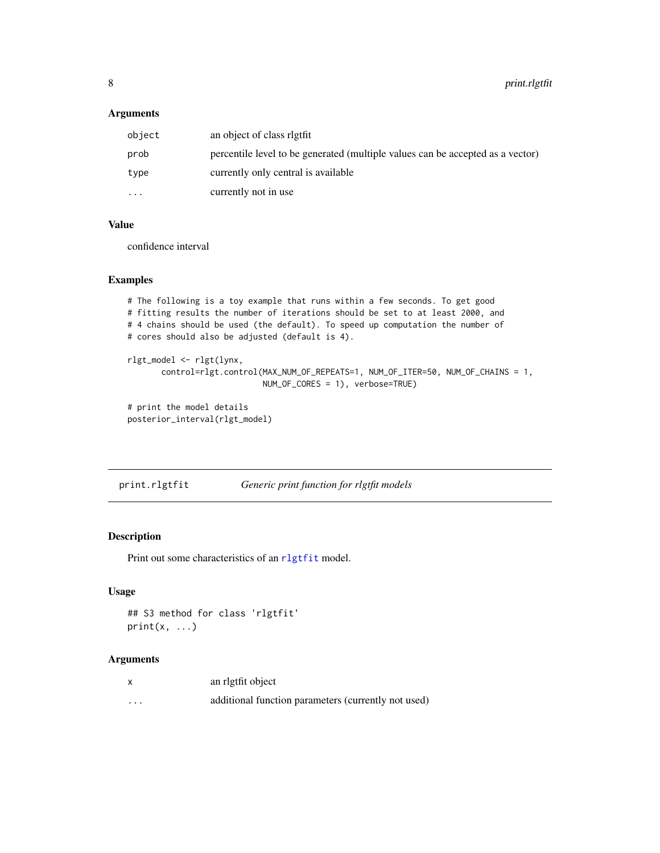#### <span id="page-7-0"></span>Arguments

| object   | an object of class right                                                       |
|----------|--------------------------------------------------------------------------------|
| prob     | percentile level to be generated (multiple values can be accepted as a vector) |
| type     | currently only central is available                                            |
| $\cdots$ | currently not in use                                                           |

#### Value

confidence interval

#### Examples

```
# The following is a toy example that runs within a few seconds. To get good
# fitting results the number of iterations should be set to at least 2000, and
# 4 chains should be used (the default). To speed up computation the number of
# cores should also be adjusted (default is 4).
rlgt_model <- rlgt(lynx,
       control=rlgt.control(MAX_NUM_OF_REPEATS=1, NUM_OF_ITER=50, NUM_OF_CHAINS = 1,
                           NUM_OF_CORES = 1), verbose=TRUE)
# print the model details
posterior_interval(rlgt_model)
```
print.rlgtfit *Generic print function for rlgtfit models*

#### Description

Print out some characteristics of an r1gtfit model.

#### Usage

```
## S3 method for class 'rlgtfit'
print(x, \ldots)
```
#### Arguments

| x        | an rigtfit object                                   |
|----------|-----------------------------------------------------|
| $\cdots$ | additional function parameters (currently not used) |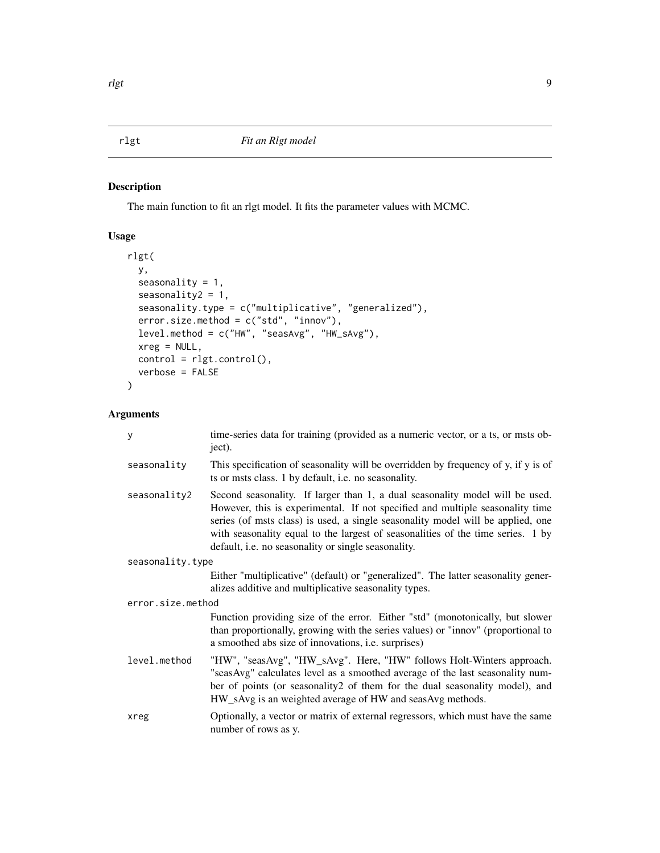<span id="page-8-1"></span><span id="page-8-0"></span>The main function to fit an rlgt model. It fits the parameter values with MCMC.

#### Usage

```
rlgt(
 y,
 seasonality = 1,
 seasonality2 = 1,
 seasonality.type = c("multiplicative", "generalized"),
 error.size.method = c("std", "innov"),
 level.method = c("HW", "seasAvg", "HW_sAvg"),
 xreg = NULL,
 control = rlgt.control(),
 verbose = FALSE
)
```
#### Arguments

| y                 | time-series data for training (provided as a numeric vector, or a ts, or msts ob-<br>ject).                                                                                                                                                                                                                                                                                                |
|-------------------|--------------------------------------------------------------------------------------------------------------------------------------------------------------------------------------------------------------------------------------------------------------------------------------------------------------------------------------------------------------------------------------------|
| seasonality       | This specification of seasonality will be overridden by frequency of y, if y is of<br>ts or msts class. 1 by default, i.e. no seasonality.                                                                                                                                                                                                                                                 |
| seasonality2      | Second seasonality. If larger than 1, a dual seasonality model will be used.<br>However, this is experimental. If not specified and multiple seasonality time<br>series (of msts class) is used, a single seasonality model will be applied, one<br>with seasonality equal to the largest of seasonalities of the time series. 1 by<br>default, i.e. no seasonality or single seasonality. |
| seasonality.type  |                                                                                                                                                                                                                                                                                                                                                                                            |
|                   | Either "multiplicative" (default) or "generalized". The latter seasonality gener-<br>alizes additive and multiplicative seasonality types.                                                                                                                                                                                                                                                 |
| error.size.method |                                                                                                                                                                                                                                                                                                                                                                                            |
|                   | Function providing size of the error. Either "std" (monotonically, but slower<br>than proportionally, growing with the series values) or "innov" (proportional to<br>a smoothed abs size of innovations, i.e. surprises)                                                                                                                                                                   |
| level.method      | "HW", "seasAvg", "HW_sAvg". Here, "HW" follows Holt-Winters approach.<br>"seasAvg" calculates level as a smoothed average of the last seasonality num-<br>ber of points (or seasonality2 of them for the dual seasonality model), and<br>HW_sAvg is an weighted average of HW and seasAvg methods.                                                                                         |
| xreg              | Optionally, a vector or matrix of external regressors, which must have the same<br>number of rows as y.                                                                                                                                                                                                                                                                                    |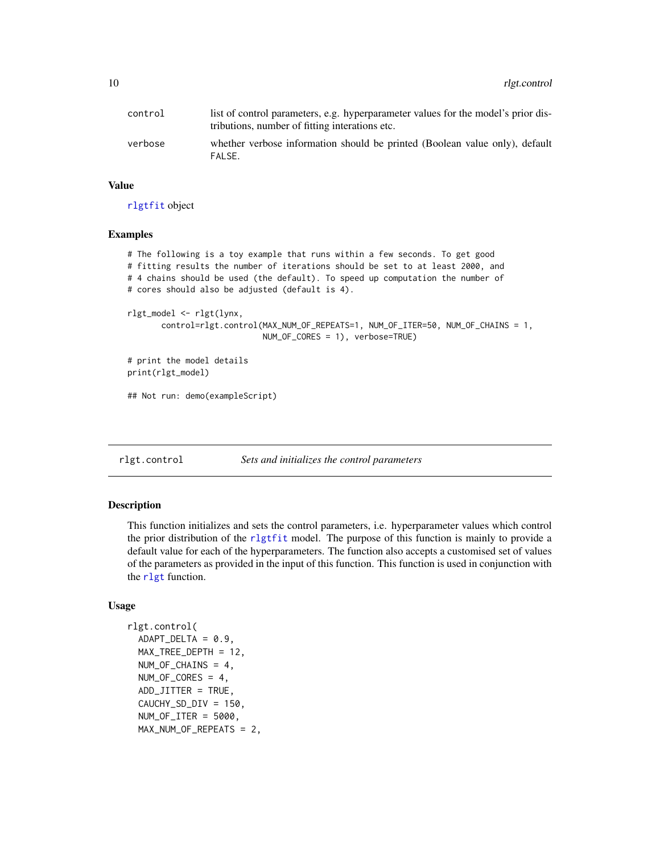<span id="page-9-0"></span>

| control | list of control parameters, e.g. hyperparameter values for the model's prior dis-<br>tributions, number of fitting interations etc. |
|---------|-------------------------------------------------------------------------------------------------------------------------------------|
| verbose | whether verbose information should be printed (Boolean value only), default<br>FALSE.                                               |

#### Value

[rlgtfit](#page-11-1) object

#### Examples

```
# The following is a toy example that runs within a few seconds. To get good
# fitting results the number of iterations should be set to at least 2000, and
# 4 chains should be used (the default). To speed up computation the number of
# cores should also be adjusted (default is 4).
rlgt_model <- rlgt(lynx,
      control=rlgt.control(MAX_NUM_OF_REPEATS=1, NUM_OF_ITER=50, NUM_OF_CHAINS = 1,
                            NUM_OF_CORES = 1), verbose=TRUE)
# print the model details
print(rlgt_model)
## Not run: demo(exampleScript)
```
<span id="page-9-1"></span>

rlgt.control *Sets and initializes the control parameters*

#### Description

This function initializes and sets the control parameters, i.e. hyperparameter values which control the prior distribution of the r1gtfit model. The purpose of this function is mainly to provide a default value for each of the hyperparameters. The function also accepts a customised set of values of the parameters as provided in the input of this function. This function is used in conjunction with the [rlgt](#page-8-1) function.

#### Usage

```
rlgt.control(
  ADAPT_DELTA = 0.9,
  MAX_TREE_DEPTH = 12,
  NUM_OF_CHAINS = 4,
 NUM_OF_CORES = 4,
  ADD_JITTER = TRUE,
  CAUCHY_SD_DIV = 150,
 NUM_OF_ITER = 5000,
 MAX_NUM_OF_REPEATS = 2,
```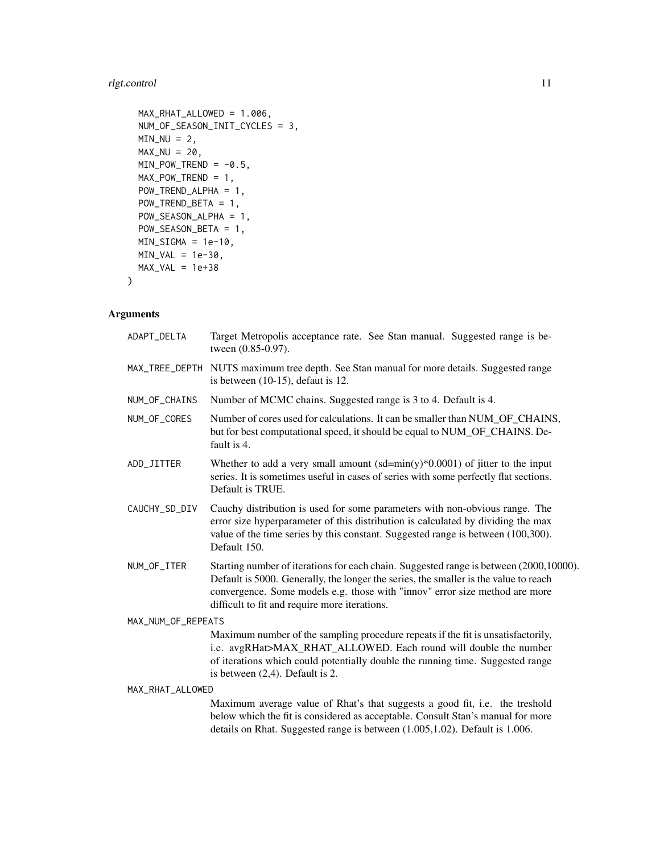### rlgt.control 11

```
MAX_RHAT_ALLOWED = 1.006,
NUM_OF_SEASON_INIT_CYCLES = 3,
MIN_NU = 2,
MAX_NU = 20,
MIN_POW_TREND = -0.5,
MAX_POW_TREND = 1,
POW_TREND_ALPHA = 1,
POW_TREND_BETA = 1,
POW_SEASON_ALPHA = 1,
POW_SEASON_BETA = 1,
MIN_SIGMA = 1e-10,
MIN_VAL = 1e-30,
MAX_VAL = 1e+38
```
### Arguments

)

| ADAPT_DELTA        | Target Metropolis acceptance rate. See Stan manual. Suggested range is be-<br>tween (0.85-0.97).                                                                                                                                                                                                               |
|--------------------|----------------------------------------------------------------------------------------------------------------------------------------------------------------------------------------------------------------------------------------------------------------------------------------------------------------|
|                    | MAX_TREE_DEPTH NUTS maximum tree depth. See Stan manual for more details. Suggested range<br>is between $(10-15)$ , defaut is 12.                                                                                                                                                                              |
| NUM_OF_CHAINS      | Number of MCMC chains. Suggested range is 3 to 4. Default is 4.                                                                                                                                                                                                                                                |
| NUM_OF_CORES       | Number of cores used for calculations. It can be smaller than NUM_OF_CHAINS,<br>but for best computational speed, it should be equal to NUM_OF_CHAINS. De-<br>fault is 4.                                                                                                                                      |
| ADD_JITTER         | Whether to add a very small amount $(sd = min(y)*0.0001)$ of jitter to the input<br>series. It is sometimes useful in cases of series with some perfectly flat sections.<br>Default is TRUE.                                                                                                                   |
| CAUCHY_SD_DIV      | Cauchy distribution is used for some parameters with non-obvious range. The<br>error size hyperparameter of this distribution is calculated by dividing the max<br>value of the time series by this constant. Suggested range is between (100,300).<br>Default 150.                                            |
| NUM_OF_ITER        | Starting number of iterations for each chain. Suggested range is between (2000,10000).<br>Default is 5000. Generally, the longer the series, the smaller is the value to reach<br>convergence. Some models e.g. those with "innov" error size method are more<br>difficult to fit and require more iterations. |
| MAX_NUM_OF_REPEATS |                                                                                                                                                                                                                                                                                                                |
|                    | Maximum number of the sampling procedure repeats if the fit is unsatisfactorily,<br>i.e. avgRHat>MAX_RHAT_ALLOWED. Each round will double the number<br>of iterations which could potentially double the running time. Suggested range<br>is between $(2,4)$ . Default is 2.                                   |
| MAX_RHAT_ALLOWED   |                                                                                                                                                                                                                                                                                                                |
|                    | Maximum average value of Rhat's that suggests a good fit, i.e. the treshold<br>below which the fit is considered as acceptable. Consult Stan's manual for more<br>details on Rhat. Suggested range is between (1.005,1.02). Default is 1.006.                                                                  |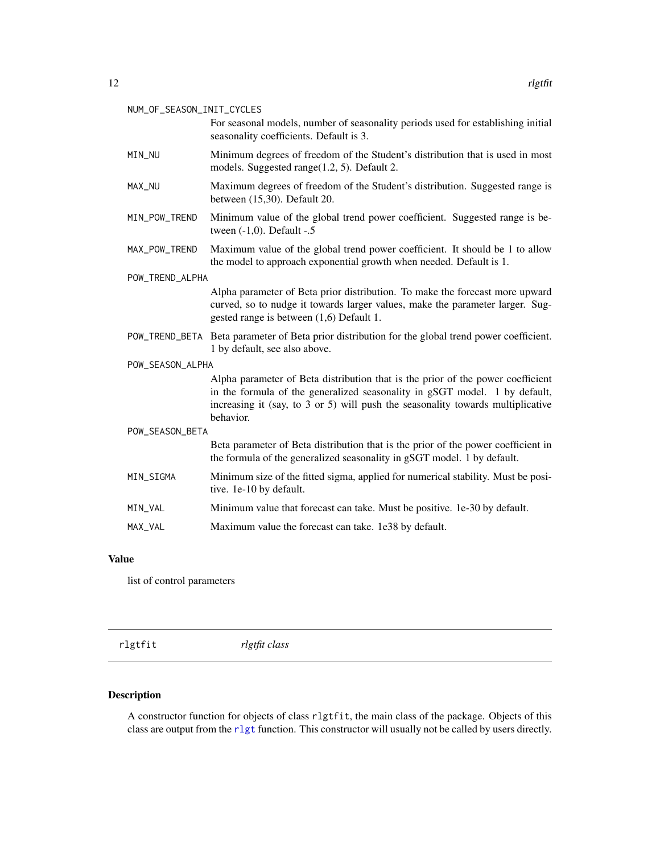#### <span id="page-11-0"></span>NUM\_OF\_SEASON\_INIT\_CYCLES

| For seasonal models, number of seasonality periods used for establishing initial |
|----------------------------------------------------------------------------------|
| seasonality coefficients. Default is 3.                                          |

- MIN\_NU Minimum degrees of freedom of the Student's distribution that is used in most models. Suggested range(1.2, 5). Default 2.
- MAX\_NU Maximum degrees of freedom of the Student's distribution. Suggested range is between (15,30). Default 20.
- MIN\_POW\_TREND Minimum value of the global trend power coefficient. Suggested range is between (-1,0). Default -.5
- MAX\_POW\_TREND Maximum value of the global trend power coefficient. It should be 1 to allow the model to approach exponential growth when needed. Default is 1.

POW\_TREND\_ALPHA

Alpha parameter of Beta prior distribution. To make the forecast more upward curved, so to nudge it towards larger values, make the parameter larger. Suggested range is between (1,6) Default 1.

POW\_TREND\_BETA Beta parameter of Beta prior distribution for the global trend power coefficient. 1 by default, see also above.

#### POW\_SEASON\_ALPHA

Alpha parameter of Beta distribution that is the prior of the power coefficient in the formula of the generalized seasonality in gSGT model. 1 by default, increasing it (say, to 3 or 5) will push the seasonality towards multiplicative behavior.

# POW\_SEASON\_BETA

Beta parameter of Beta distribution that is the prior of the power coefficient in the formula of the generalized seasonality in gSGT model. 1 by default.

- MIN\_SIGMA Minimum size of the fitted sigma, applied for numerical stability. Must be positive. 1e-10 by default.
- MIN\_VAL Minimum value that forecast can take. Must be positive. 1e-30 by default.
- MAX\_VAL Maximum value the forecast can take. 1e38 by default.

#### Value

list of control parameters

<span id="page-11-1"></span>rlgtfit *rlgtfit class*

#### Description

A constructor function for objects of class rlgtfit, the main class of the package. Objects of this class are output from the [rlgt](#page-8-1) function. This constructor will usually not be called by users directly.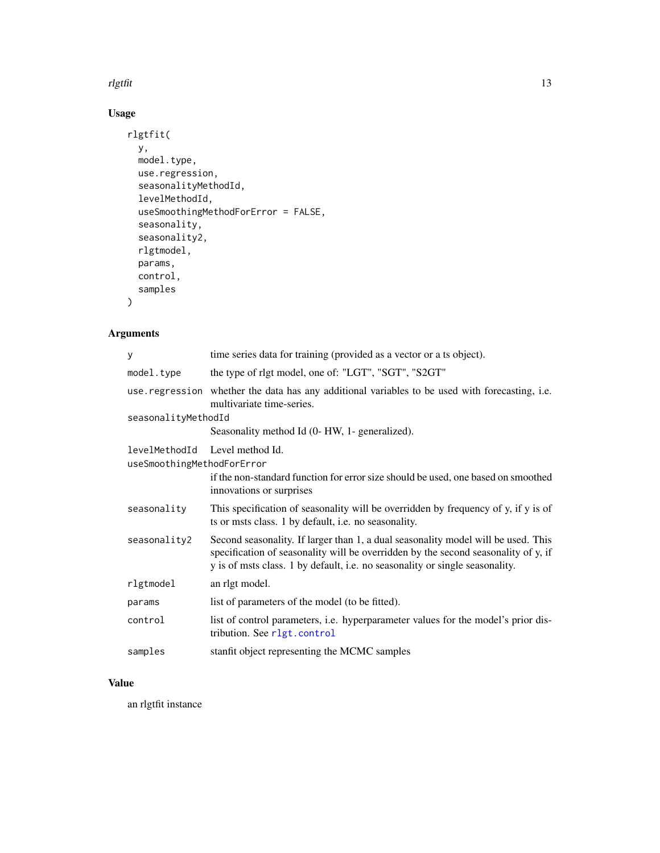#### <span id="page-12-0"></span>rlgtfit that the contract of the contract of the contract of the contract of the contract of the contract of the contract of the contract of the contract of the contract of the contract of the contract of the contract of t

## Usage

```
rlgtfit(
  y,
  model.type,
  use.regression,
  seasonalityMethodId,
  levelMethodId,
  useSmoothingMethodForError = FALSE,
  seasonality,
  seasonality2,
  rlgtmodel,
  params,
  control,
  samples
\overline{\phantom{a}}
```
### Arguments

| y                                                            | time series data for training (provided as a vector or a ts object).                                                                                                                                                                                    |
|--------------------------------------------------------------|---------------------------------------------------------------------------------------------------------------------------------------------------------------------------------------------------------------------------------------------------------|
| model.type                                                   | the type of rlgt model, one of: "LGT", "SGT", "S2GT"                                                                                                                                                                                                    |
|                                                              | use regression whether the data has any additional variables to be used with forecasting, i.e.<br>multivariate time-series.                                                                                                                             |
| seasonalityMethodId                                          |                                                                                                                                                                                                                                                         |
|                                                              | Seasonality method Id (0- HW, 1- generalized).                                                                                                                                                                                                          |
| levelMethodId Level method Id.<br>useSmoothingMethodForError |                                                                                                                                                                                                                                                         |
|                                                              | if the non-standard function for error size should be used, one based on smoothed<br>innovations or surprises                                                                                                                                           |
| seasonality                                                  | This specification of seasonality will be overridden by frequency of y, if y is of<br>ts or msts class. 1 by default, i.e. no seasonality.                                                                                                              |
| seasonality2                                                 | Second seasonality. If larger than 1, a dual seasonality model will be used. This<br>specification of seasonality will be overridden by the second seasonality of y, if<br>y is of msts class. 1 by default, i.e. no seasonality or single seasonality. |
| rlgtmodel                                                    | an rlgt model.                                                                                                                                                                                                                                          |
| params                                                       | list of parameters of the model (to be fitted).                                                                                                                                                                                                         |
| control                                                      | list of control parameters, i.e. hyperparameter values for the model's prior dis-<br>tribution. See r1gt.control                                                                                                                                        |
| samples                                                      | stanfit object representing the MCMC samples                                                                                                                                                                                                            |

### Value

an rlgtfit instance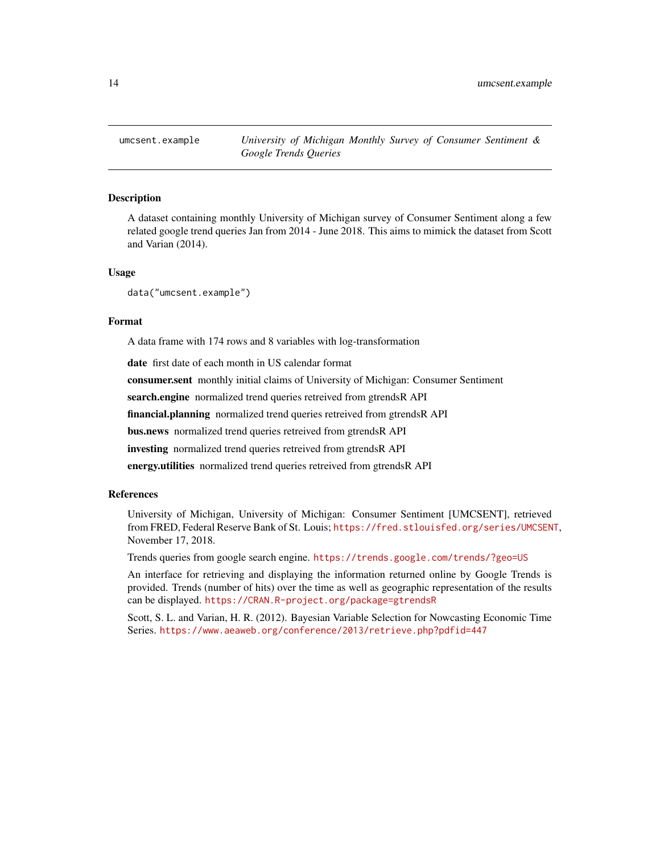<span id="page-13-0"></span>

A dataset containing monthly University of Michigan survey of Consumer Sentiment along a few related google trend queries Jan from 2014 - June 2018. This aims to mimick the dataset from Scott and Varian (2014).

#### Usage

data("umcsent.example")

#### Format

A data frame with 174 rows and 8 variables with log-transformation

date first date of each month in US calendar format

consumer.sent monthly initial claims of University of Michigan: Consumer Sentiment

search.engine normalized trend queries retreived from gtrendsR API

financial.planning normalized trend queries retreived from gtrendsR API

bus.news normalized trend queries retreived from gtrendsR API

investing normalized trend queries retreived from gtrendsR API

energy.utilities normalized trend queries retreived from gtrendsR API

#### References

University of Michigan, University of Michigan: Consumer Sentiment [UMCSENT], retrieved from FRED, Federal Reserve Bank of St. Louis; <https://fred.stlouisfed.org/series/UMCSENT>, November 17, 2018.

Trends queries from google search engine. <https://trends.google.com/trends/?geo=US>

An interface for retrieving and displaying the information returned online by Google Trends is provided. Trends (number of hits) over the time as well as geographic representation of the results can be displayed. <https://CRAN.R-project.org/package=gtrendsR>

Scott, S. L. and Varian, H. R. (2012). Bayesian Variable Selection for Nowcasting Economic Time Series. <https://www.aeaweb.org/conference/2013/retrieve.php?pdfid=447>